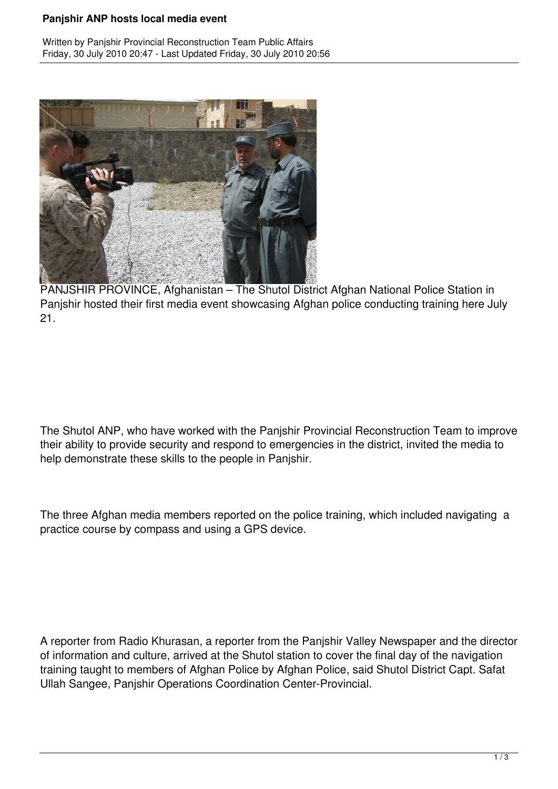## **Panjshir ANP hosts local media event**

Written by Panjshir Provincial Reconstruction Team Public Affairs Friday, 30 July 2010 20:47 - Last Updated Friday, 30 July 2010 20:56



PANJSHIR PROVINCE, Afghanistan – The Shutol District Afghan National Police Station in Panjshir hosted their first media event showcasing Afghan police conducting training here July 21.

The Shutol ANP, who have worked with the Panjshir Provincial Reconstruction Team to improve their ability to provide security and respond to emergencies in the district, invited the media to help demonstrate these skills to the people in Panjshir.

The three Afghan media members reported on the police training, which included navigating a practice course by compass and using a GPS device.

A reporter from Radio Khurasan, a reporter from the Panjshir Valley Newspaper and the director of information and culture, arrived at the Shutol station to cover the final day of the navigation training taught to members of Afghan Police by Afghan Police, said Shutol District Capt. Safat Ullah Sangee, Panjshir Operations Coordination Center-Provincial.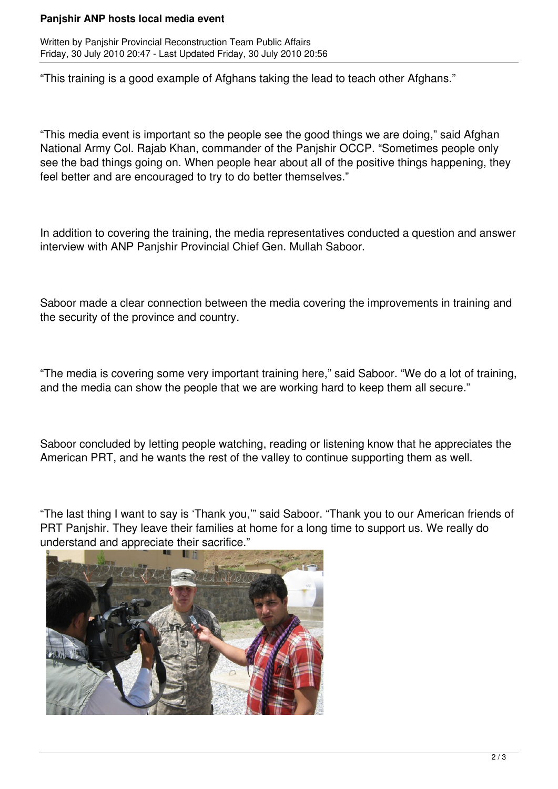## **Panjshir ANP hosts local media event**

Written by Panjshir Provincial Reconstruction Team Public Affairs Friday, 30 July 2010 20:47 - Last Updated Friday, 30 July 2010 20:56

"This training is a good example of Afghans taking the lead to teach other Afghans."

"This media event is important so the people see the good things we are doing," said Afghan National Army Col. Rajab Khan, commander of the Panjshir OCCP. "Sometimes people only see the bad things going on. When people hear about all of the positive things happening, they feel better and are encouraged to try to do better themselves."

In addition to covering the training, the media representatives conducted a question and answer interview with ANP Panjshir Provincial Chief Gen. Mullah Saboor.

Saboor made a clear connection between the media covering the improvements in training and the security of the province and country.

"The media is covering some very important training here," said Saboor. "We do a lot of training, and the media can show the people that we are working hard to keep them all secure."

Saboor concluded by letting people watching, reading or listening know that he appreciates the American PRT, and he wants the rest of the valley to continue supporting them as well.

"The last thing I want to say is 'Thank you,'" said Saboor. "Thank you to our American friends of PRT Panjshir. They leave their families at home for a long time to support us. We really do understand and appreciate their sacrifice."